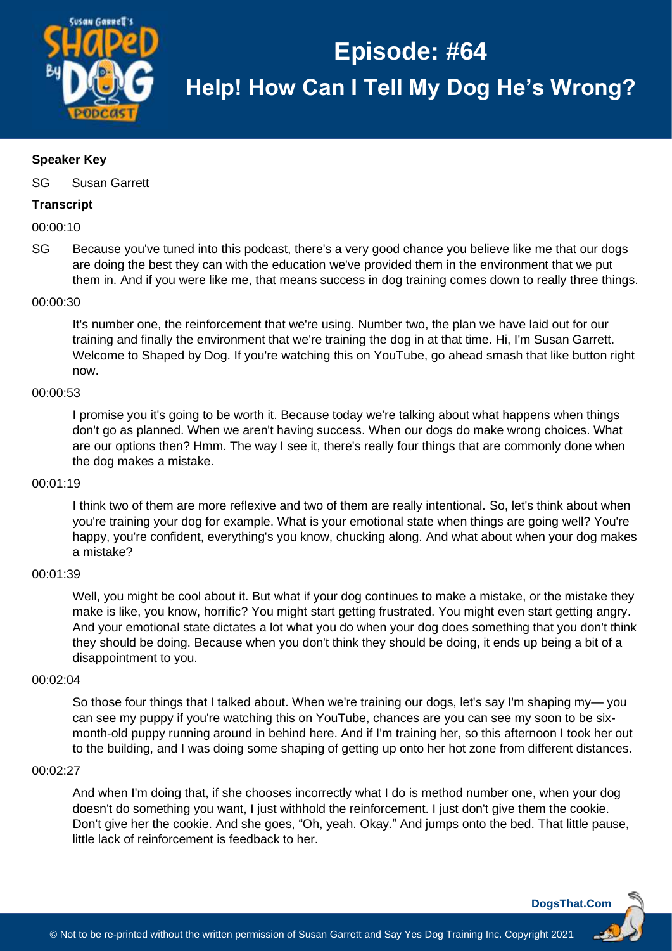

## **Speaker Key**

SG Susan Garrett

## **Transcript**

00:00:10

SG Because you've tuned into this podcast, there's a very good chance you believe like me that our dogs are doing the best they can with the education we've provided them in the environment that we put them in. And if you were like me, that means success in dog training comes down to really three things.

#### 00:00:30

It's number one, the reinforcement that we're using. Number two, the plan we have laid out for our training and finally the environment that we're training the dog in at that time. Hi, I'm Susan Garrett. Welcome to Shaped by Dog. If you're watching this on YouTube, go ahead smash that like button right now.

#### 00:00:53

I promise you it's going to be worth it. Because today we're talking about what happens when things don't go as planned. When we aren't having success. When our dogs do make wrong choices. What are our options then? Hmm. The way I see it, there's really four things that are commonly done when the dog makes a mistake.

## 00:01:19

I think two of them are more reflexive and two of them are really intentional. So, let's think about when you're training your dog for example. What is your emotional state when things are going well? You're happy, you're confident, everything's you know, chucking along. And what about when your dog makes a mistake?

#### 00:01:39

Well, you might be cool about it. But what if your dog continues to make a mistake, or the mistake they make is like, you know, horrific? You might start getting frustrated. You might even start getting angry. And your emotional state dictates a lot what you do when your dog does something that you don't think they should be doing. Because when you don't think they should be doing, it ends up being a bit of a disappointment to you.

#### 00:02:04

So those four things that I talked about. When we're training our dogs, let's say I'm shaping my— you can see my puppy if you're watching this on YouTube, chances are you can see my soon to be sixmonth-old puppy running around in behind here. And if I'm training her, so this afternoon I took her out to the building, and I was doing some shaping of getting up onto her hot zone from different distances.

#### 00:02:27

And when I'm doing that, if she chooses incorrectly what I do is method number one, when your dog doesn't do something you want, I just withhold the reinforcement. I just don't give them the cookie. Don't give her the cookie. And she goes, "Oh, yeah. Okay." And jumps onto the bed. That little pause, little lack of reinforcement is feedback to her.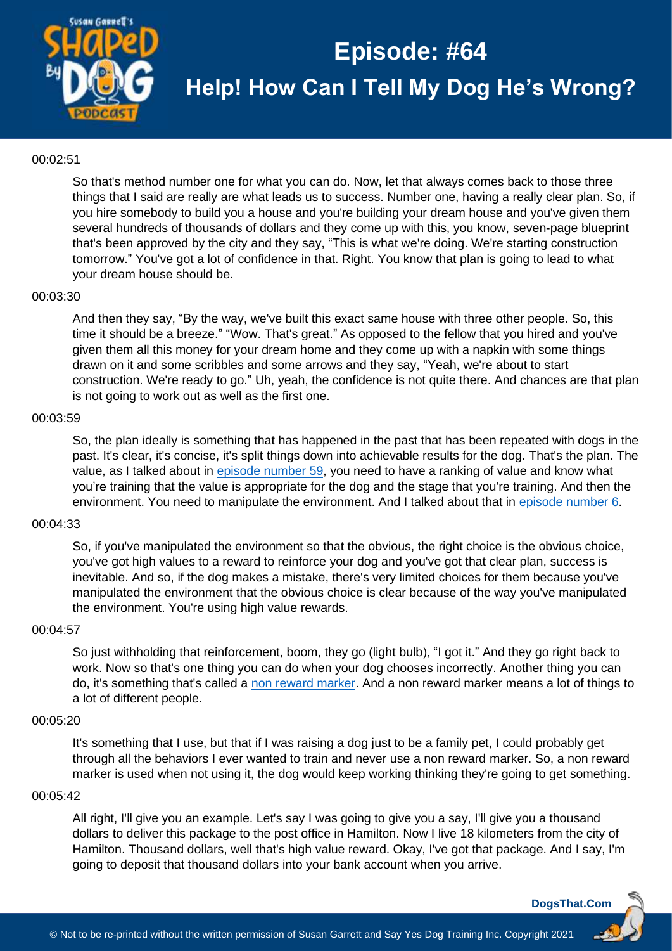

## 00:02:51

So that's method number one for what you can do. Now, let that always comes back to those three things that I said are really are what leads us to success. Number one, having a really clear plan. So, if you hire somebody to build you a house and you're building your dream house and you've given them several hundreds of thousands of dollars and they come up with this, you know, seven-page blueprint that's been approved by the city and they say, "This is what we're doing. We're starting construction tomorrow." You've got a lot of confidence in that. Right. You know that plan is going to lead to what your dream house should be.

## 00:03:30

And then they say, "By the way, we've built this exact same house with three other people. So, this time it should be a breeze." "Wow. That's great." As opposed to the fellow that you hired and you've given them all this money for your dream home and they come up with a napkin with some things drawn on it and some scribbles and some arrows and they say, "Yeah, we're about to start construction. We're ready to go." Uh, yeah, the confidence is not quite there. And chances are that plan is not going to work out as well as the first one.

#### 00:03:59

So, the plan ideally is something that has happened in the past that has been repeated with dogs in the past. It's clear, it's concise, it's split things down into achievable results for the dog. That's the plan. The value, as I talked about in [episode number 59,](https://dogsthat.com/podcast/59/) you need to have a ranking of value and know what you're training that the value is appropriate for the dog and the stage that you're training. And then the environment. You need to manipulate the environment. And I talked about that in [episode number 6.](https://dogsthat.com/podcast/6/)

## 00:04:33

So, if you've manipulated the environment so that the obvious, the right choice is the obvious choice, you've got high values to a reward to reinforce your dog and you've got that clear plan, success is inevitable. And so, if the dog makes a mistake, there's very limited choices for them because you've manipulated the environment that the obvious choice is clear because of the way you've manipulated the environment. You're using high value rewards.

#### 00:04:57

So just withholding that reinforcement, boom, they go (light bulb), "I got it." And they go right back to work. Now so that's one thing you can do when your dog chooses incorrectly. Another thing you can do, it's something that's called a [non reward marker.](https://susangarrettdogagility.com/2011/02/what-is-ideal-meaning-of-a-nrm/) And a non reward marker means a lot of things to a lot of different people.

### 00:05:20

It's something that I use, but that if I was raising a dog just to be a family pet, I could probably get through all the behaviors I ever wanted to train and never use a non reward marker. So, a non reward marker is used when not using it, the dog would keep working thinking they're going to get something.

#### 00:05:42

All right, I'll give you an example. Let's say I was going to give you a say, I'll give you a thousand dollars to deliver this package to the post office in Hamilton. Now I live 18 kilometers from the city of Hamilton. Thousand dollars, well that's high value reward. Okay, I've got that package. And I say, I'm going to deposit that thousand dollars into your bank account when you arrive.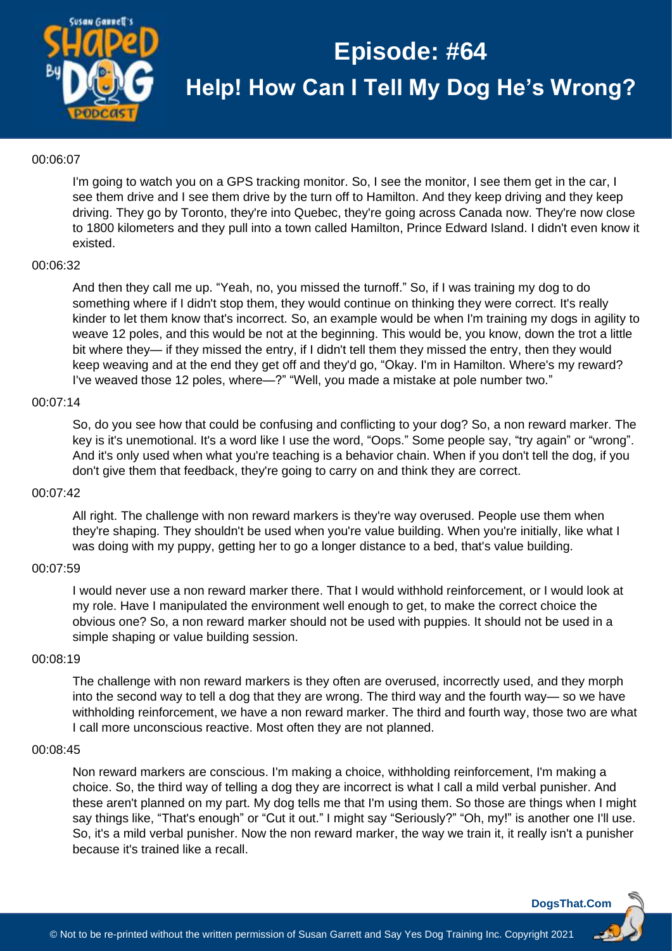

## 00:06:07

I'm going to watch you on a GPS tracking monitor. So, I see the monitor, I see them get in the car, I see them drive and I see them drive by the turn off to Hamilton. And they keep driving and they keep driving. They go by Toronto, they're into Quebec, they're going across Canada now. They're now close to 1800 kilometers and they pull into a town called Hamilton, Prince Edward Island. I didn't even know it existed.

#### 00:06:32

And then they call me up. "Yeah, no, you missed the turnoff." So, if I was training my dog to do something where if I didn't stop them, they would continue on thinking they were correct. It's really kinder to let them know that's incorrect. So, an example would be when I'm training my dogs in agility to weave 12 poles, and this would be not at the beginning. This would be, you know, down the trot a little bit where they— if they missed the entry, if I didn't tell them they missed the entry, then they would keep weaving and at the end they get off and they'd go, "Okay. I'm in Hamilton. Where's my reward? I've weaved those 12 poles, where—?" "Well, you made a mistake at pole number two."

## 00:07:14

So, do you see how that could be confusing and conflicting to your dog? So, a non reward marker. The key is it's unemotional. It's a word like I use the word, "Oops." Some people say, "try again" or "wrong". And it's only used when what you're teaching is a behavior chain. When if you don't tell the dog, if you don't give them that feedback, they're going to carry on and think they are correct.

#### 00:07:42

All right. The challenge with non reward markers is they're way overused. People use them when they're shaping. They shouldn't be used when you're value building. When you're initially, like what I was doing with my puppy, getting her to go a longer distance to a bed, that's value building.

## 00:07:59

I would never use a non reward marker there. That I would withhold reinforcement, or I would look at my role. Have I manipulated the environment well enough to get, to make the correct choice the obvious one? So, a non reward marker should not be used with puppies. It should not be used in a simple shaping or value building session.

#### 00:08:19

The challenge with non reward markers is they often are overused, incorrectly used, and they morph into the second way to tell a dog that they are wrong. The third way and the fourth way— so we have withholding reinforcement, we have a non reward marker. The third and fourth way, those two are what I call more unconscious reactive. Most often they are not planned.

#### 00:08:45

Non reward markers are conscious. I'm making a choice, withholding reinforcement, I'm making a choice. So, the third way of telling a dog they are incorrect is what I call a mild verbal punisher. And these aren't planned on my part. My dog tells me that I'm using them. So those are things when I might say things like, "That's enough" or "Cut it out." I might say "Seriously?" "Oh, my!" is another one I'll use. So, it's a mild verbal punisher. Now the non reward marker, the way we train it, it really isn't a punisher because it's trained like a recall.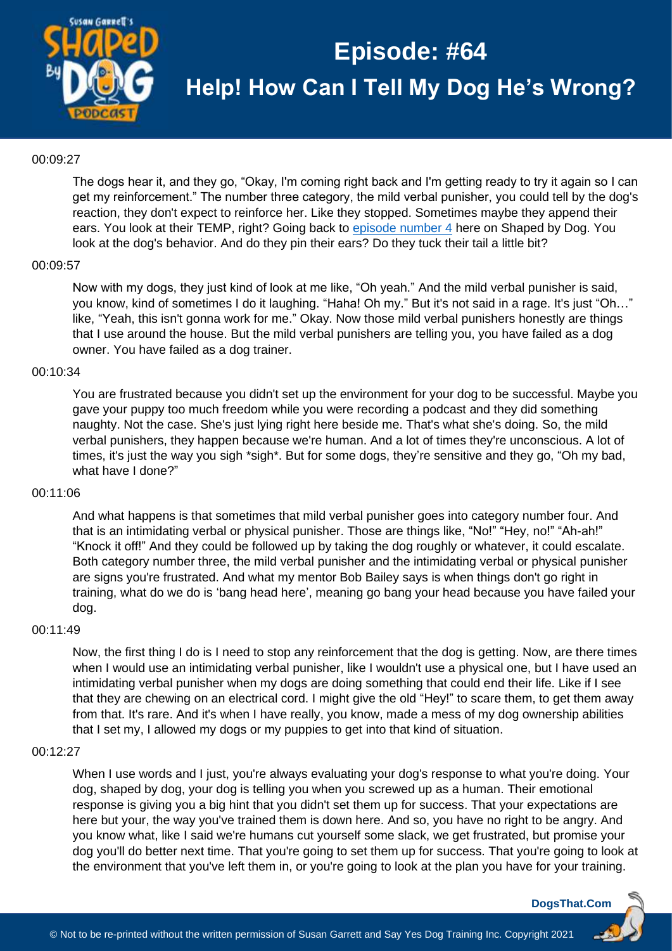

## 00:09:27

The dogs hear it, and they go, "Okay, I'm coming right back and I'm getting ready to try it again so I can get my reinforcement." The number three category, the mild verbal punisher, you could tell by the dog's reaction, they don't expect to reinforce her. Like they stopped. Sometimes maybe they append their ears. You look at their TEMP, right? Going back to episode [number 4](https://dogsthat.com/podcast/4/) here on Shaped by Dog. You look at the dog's behavior. And do they pin their ears? Do they tuck their tail a little bit?

#### 00:09:57

Now with my dogs, they just kind of look at me like, "Oh yeah." And the mild verbal punisher is said, you know, kind of sometimes I do it laughing. "Haha! Oh my." But it's not said in a rage. It's just "Oh…" like, "Yeah, this isn't gonna work for me." Okay. Now those mild verbal punishers honestly are things that I use around the house. But the mild verbal punishers are telling you, you have failed as a dog owner. You have failed as a dog trainer.

#### 00:10:34

You are frustrated because you didn't set up the environment for your dog to be successful. Maybe you gave your puppy too much freedom while you were recording a podcast and they did something naughty. Not the case. She's just lying right here beside me. That's what she's doing. So, the mild verbal punishers, they happen because we're human. And a lot of times they're unconscious. A lot of times, it's just the way you sigh \*sigh\*. But for some dogs, they're sensitive and they go, "Oh my bad, what have I done?"

#### 00:11:06

And what happens is that sometimes that mild verbal punisher goes into category number four. And that is an intimidating verbal or physical punisher. Those are things like, "No!" "Hey, no!" "Ah-ah!" "Knock it off!" And they could be followed up by taking the dog roughly or whatever, it could escalate. Both category number three, the mild verbal punisher and the intimidating verbal or physical punisher are signs you're frustrated. And what my mentor Bob Bailey says is when things don't go right in training, what do we do is 'bang head here', meaning go bang your head because you have failed your dog.

#### 00:11:49

Now, the first thing I do is I need to stop any reinforcement that the dog is getting. Now, are there times when I would use an intimidating verbal punisher, like I wouldn't use a physical one, but I have used an intimidating verbal punisher when my dogs are doing something that could end their life. Like if I see that they are chewing on an electrical cord. I might give the old "Hey!" to scare them, to get them away from that. It's rare. And it's when I have really, you know, made a mess of my dog ownership abilities that I set my, I allowed my dogs or my puppies to get into that kind of situation.

#### 00:12:27

When I use words and I just, you're always evaluating your dog's response to what you're doing. Your dog, shaped by dog, your dog is telling you when you screwed up as a human. Their emotional response is giving you a big hint that you didn't set them up for success. That your expectations are here but your, the way you've trained them is down here. And so, you have no right to be angry. And you know what, like I said we're humans cut yourself some slack, we get frustrated, but promise your dog you'll do better next time. That you're going to set them up for success. That you're going to look at the environment that you've left them in, or you're going to look at the plan you have for your training.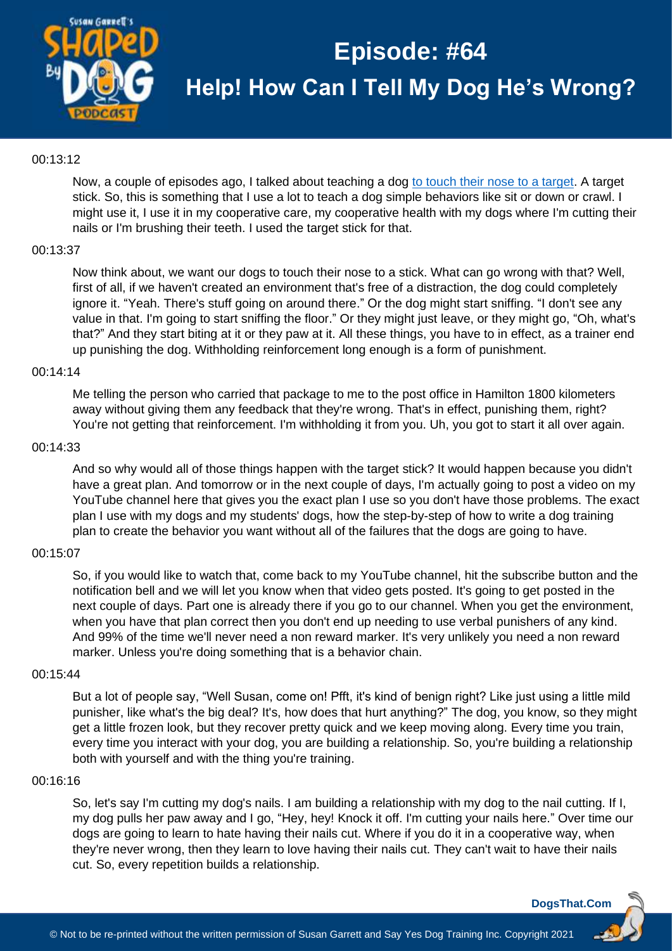

## 00:13:12

Now, a couple of episodes ago, I talked about teaching a dog [to touch their nose to a target.](https://www.youtube.com/watch?v=MzePo7RSQu4&feature=youtu.be) A target stick. So, this is something that I use a lot to teach a dog simple behaviors like sit or down or crawl. I might use it, I use it in my cooperative care, my cooperative health with my dogs where I'm cutting their nails or I'm brushing their teeth. I used the target stick for that.

## 00:13:37

Now think about, we want our dogs to touch their nose to a stick. What can go wrong with that? Well, first of all, if we haven't created an environment that's free of a distraction, the dog could completely ignore it. "Yeah. There's stuff going on around there." Or the dog might start sniffing. "I don't see any value in that. I'm going to start sniffing the floor." Or they might just leave, or they might go, "Oh, what's that?" And they start biting at it or they paw at it. All these things, you have to in effect, as a trainer end up punishing the dog. Withholding reinforcement long enough is a form of punishment.

#### 00:14:14

Me telling the person who carried that package to me to the post office in Hamilton 1800 kilometers away without giving them any feedback that they're wrong. That's in effect, punishing them, right? You're not getting that reinforcement. I'm withholding it from you. Uh, you got to start it all over again.

#### 00:14:33

And so why would all of those things happen with the target stick? It would happen because you didn't have a great plan. And tomorrow or in the next couple of days, I'm actually going to post a video on my YouTube channel here that gives you the exact plan I use so you don't have those problems. The exact plan I use with my dogs and my students' dogs, how the step-by-step of how to write a dog training plan to create the behavior you want without all of the failures that the dogs are going to have.

#### 00:15:07

So, if you would like to watch that, come back to my YouTube channel, hit the subscribe button and the notification bell and we will let you know when that video gets posted. It's going to get posted in the next couple of days. Part one is already there if you go to our channel. When you get the environment, when you have that plan correct then you don't end up needing to use verbal punishers of any kind. And 99% of the time we'll never need a non reward marker. It's very unlikely you need a non reward marker. Unless you're doing something that is a behavior chain.

#### 00:15:44

But a lot of people say, "Well Susan, come on! Pfft, it's kind of benign right? Like just using a little mild punisher, like what's the big deal? It's, how does that hurt anything?" The dog, you know, so they might get a little frozen look, but they recover pretty quick and we keep moving along. Every time you train, every time you interact with your dog, you are building a relationship. So, you're building a relationship both with yourself and with the thing you're training.

#### 00:16:16

So, let's say I'm cutting my dog's nails. I am building a relationship with my dog to the nail cutting. If I, my dog pulls her paw away and I go, "Hey, hey! Knock it off. I'm cutting your nails here." Over time our dogs are going to learn to hate having their nails cut. Where if you do it in a cooperative way, when they're never wrong, then they learn to love having their nails cut. They can't wait to have their nails cut. So, every repetition builds a relationship.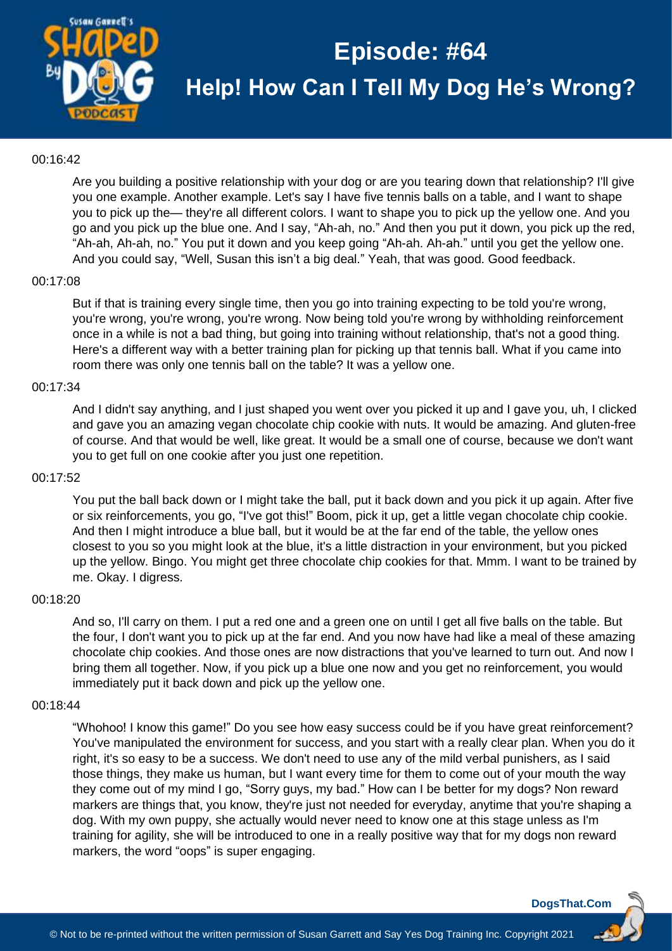

## 00:16:42

Are you building a positive relationship with your dog or are you tearing down that relationship? I'll give you one example. Another example. Let's say I have five tennis balls on a table, and I want to shape you to pick up the— they're all different colors. I want to shape you to pick up the yellow one. And you go and you pick up the blue one. And I say, "Ah-ah, no." And then you put it down, you pick up the red, "Ah-ah, Ah-ah, no." You put it down and you keep going "Ah-ah. Ah-ah." until you get the yellow one. And you could say, "Well, Susan this isn't a big deal." Yeah, that was good. Good feedback.

#### 00:17:08

But if that is training every single time, then you go into training expecting to be told you're wrong, you're wrong, you're wrong, you're wrong. Now being told you're wrong by withholding reinforcement once in a while is not a bad thing, but going into training without relationship, that's not a good thing. Here's a different way with a better training plan for picking up that tennis ball. What if you came into room there was only one tennis ball on the table? It was a yellow one.

#### 00:17:34

And I didn't say anything, and I just shaped you went over you picked it up and I gave you, uh, I clicked and gave you an amazing vegan chocolate chip cookie with nuts. It would be amazing. And gluten-free of course. And that would be well, like great. It would be a small one of course, because we don't want you to get full on one cookie after you just one repetition.

## 00:17:52

You put the ball back down or I might take the ball, put it back down and you pick it up again. After five or six reinforcements, you go, "I've got this!" Boom, pick it up, get a little vegan chocolate chip cookie. And then I might introduce a blue ball, but it would be at the far end of the table, the yellow ones closest to you so you might look at the blue, it's a little distraction in your environment, but you picked up the yellow. Bingo. You might get three chocolate chip cookies for that. Mmm. I want to be trained by me. Okay. I digress.

#### 00:18:20

And so, I'll carry on them. I put a red one and a green one on until I get all five balls on the table. But the four, I don't want you to pick up at the far end. And you now have had like a meal of these amazing chocolate chip cookies. And those ones are now distractions that you've learned to turn out. And now I bring them all together. Now, if you pick up a blue one now and you get no reinforcement, you would immediately put it back down and pick up the yellow one.

#### 00:18:44

"Whohoo! I know this game!" Do you see how easy success could be if you have great reinforcement? You've manipulated the environment for success, and you start with a really clear plan. When you do it right, it's so easy to be a success. We don't need to use any of the mild verbal punishers, as I said those things, they make us human, but I want every time for them to come out of your mouth the way they come out of my mind I go, "Sorry guys, my bad." How can I be better for my dogs? Non reward markers are things that, you know, they're just not needed for everyday, anytime that you're shaping a dog. With my own puppy, she actually would never need to know one at this stage unless as I'm training for agility, she will be introduced to one in a really positive way that for my dogs non reward markers, the word "oops" is super engaging.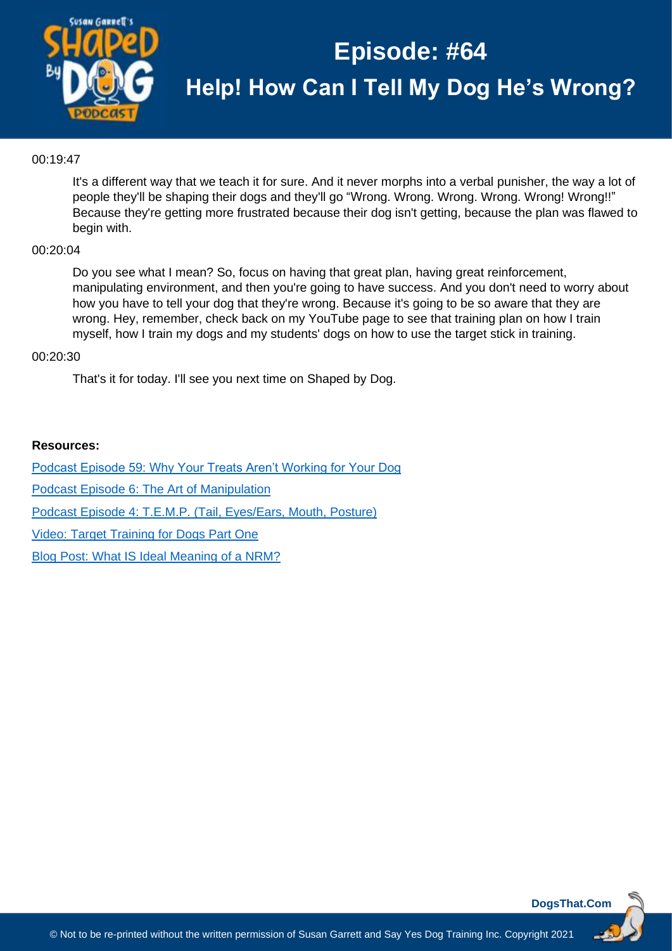

## 00:19:47

It's a different way that we teach it for sure. And it never morphs into a verbal punisher, the way a lot of people they'll be shaping their dogs and they'll go "Wrong. Wrong. Wrong. Wrong. Wrong! Wrong!!" Because they're getting more frustrated because their dog isn't getting, because the plan was flawed to begin with.

## 00:20:04

Do you see what I mean? So, focus on having that great plan, having great reinforcement, manipulating environment, and then you're going to have success. And you don't need to worry about how you have to tell your dog that they're wrong. Because it's going to be so aware that they are wrong. Hey, remember, check back on my YouTube page to see that training plan on how I train myself, how I train my dogs and my students' dogs on how to use the target stick in training.

## 00:20:30

That's it for today. I'll see you next time on Shaped by Dog.

## **Resources:**

[Podcast Episode 59: Why Your Treats Aren't Working for Your Dog](https://dogsthat.com/podcast/59/)

[Podcast Episode 6: The Art of Manipulation](https://dogsthat.com/podcast/6/)

[Podcast Episode 4: T.E.M.P. \(Tail, Eyes/Ears, Mouth, Posture\)](https://dogsthat.com/podcast/4/)

[Video: Target Training for Dogs Part One](https://youtu.be/MzePo7RSQu4)

[Blog Post: What IS Ideal Meaning of a NRM?](https://susangarrettdogagility.com/2011/02/what-is-ideal-meaning-of-a-nrm/)